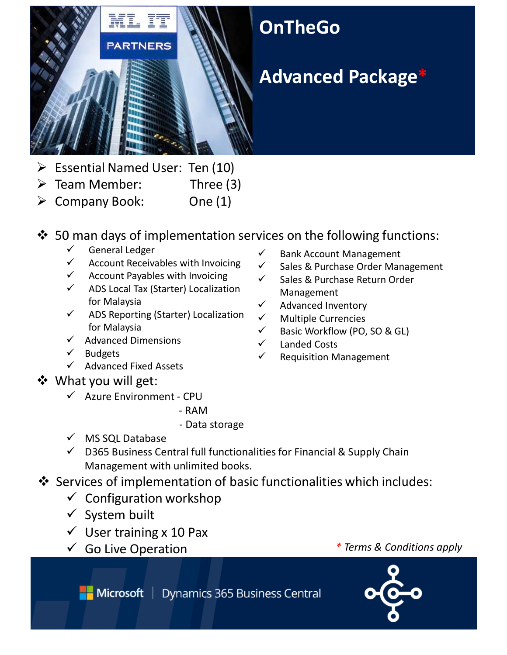

- $\triangleright$  Essential Named User: Ten (10)
- $\triangleright$  Team Member: Three (3)
- $\triangleright$  Company Book: One (1)

## $\div$  50 man days of implementation services on the following functions:

- $\checkmark$  General Ledger
- $\checkmark$  Account Receivables with Invoicing
- $\checkmark$  Account Payables with Invoicing
- $\checkmark$  ADS Local Tax (Starter) Localization for Malaysia
- $\checkmark$  ADS Reporting (Starter) Localization for Malaysia
- $\checkmark$  Advanced Dimensions
- $\checkmark$  Budgets
- $\checkmark$  Advanced Fixed Assets

## What you will get:

- Azure Environment ‐ CPU
	- ‐ RAM
	- ‐ Data storage
- $\checkmark$  MS SQL Database
- $\checkmark$  D365 Business Central full functionalities for Financial & Supply Chain Management with unlimited books.
- Services of implementation of basic functionalities which includes:
	- $\checkmark$  Configuration workshop
	- $\checkmark$  System built
	- $\checkmark$  User training x 10 Pax
	-
- $\checkmark$  Bank Account Management
- $\checkmark$  Sales & Purchase Order Management
- $\checkmark$  Sales & Purchase Return Order Management
- $\checkmark$  Advanced Inventory
- $\checkmark$  Multiple Currencies
- $\checkmark$  Basic Workflow (PO, SO & GL)
- Landed Costs
- $\checkmark$  Requisition Management

Go Live Operation *\* Terms & Conditions apply*